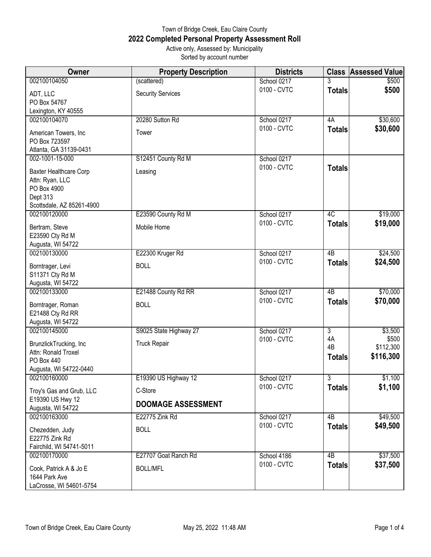## Town of Bridge Creek, Eau Claire County **2022 Completed Personal Property Assessment Roll** Active only, Assessed by: Municipality Sorted by account number

| <b>Owner</b>                                                                                      | <b>Property Description</b> | <b>Districts</b> | <b>Class</b>              | <b>Assessed Value</b>           |
|---------------------------------------------------------------------------------------------------|-----------------------------|------------------|---------------------------|---------------------------------|
| 002100104050                                                                                      | (scattered)                 | School 0217      | 3                         | \$500                           |
| ADT, LLC<br>PO Box 54767<br>Lexington, KY 40555                                                   | <b>Security Services</b>    | 0100 - CVTC      | <b>Totals</b>             | \$500                           |
| 002100104070                                                                                      | 20280 Sutton Rd             | School 0217      | 4A                        | \$30,600                        |
| American Towers, Inc<br>PO Box 723597<br>Atlanta, GA 31139-0431                                   | Tower                       | 0100 - CVTC      | <b>Totals</b>             | \$30,600                        |
| 002-1001-15-000                                                                                   | S12451 County Rd M          | School 0217      |                           |                                 |
| Baxter Healthcare Corp<br>Attn: Ryan, LLC<br>PO Box 4900<br>Dept 313<br>Scottsdale, AZ 85261-4900 | Leasing                     | 0100 - CVTC      | <b>Totals</b>             |                                 |
| 002100120000                                                                                      | E23590 County Rd M          | School 0217      | 4C                        | \$19,000                        |
| Bertram, Steve<br>E23590 Cty Rd M<br>Augusta, WI 54722                                            | Mobile Home                 | 0100 - CVTC      | <b>Totals</b>             | \$19,000                        |
| 002100130000                                                                                      | E22300 Kruger Rd            | School 0217      | $\overline{AB}$           | \$24,500                        |
| Borntrager, Levi<br>S11371 Cty Rd M<br>Augusta, WI 54722                                          | <b>BOLL</b>                 | 0100 - CVTC      | <b>Totals</b>             | \$24,500                        |
| 002100133000                                                                                      | E21488 County Rd RR         | School 0217      | 4 <sub>B</sub>            | \$70,000                        |
| Borntrager, Roman<br>E21488 Cty Rd RR<br>Augusta, WI 54722                                        | <b>BOLL</b>                 | 0100 - CVTC      | <b>Totals</b>             | \$70,000                        |
| 002100145000                                                                                      | S9025 State Highway 27      | School 0217      | $\overline{3}$            | \$3,500                         |
| BrunzlickTrucking, Inc<br>Attn: Ronald Troxel<br><b>PO Box 440</b><br>Augusta, WI 54722-0440      | <b>Truck Repair</b>         | 0100 - CVTC      | 4A<br>4B<br><b>Totals</b> | \$500<br>\$112,300<br>\$116,300 |
| 002100160000                                                                                      | E19390 US Highway 12        | School 0217      | 3                         | \$1,100                         |
| Troy's Gas and Grub, LLC                                                                          | C-Store                     | 0100 - CVTC      | <b>Totals</b>             | \$1,100                         |
| E19390 US Hwy 12<br>Augusta, WI 54722                                                             | <b>DOOMAGE ASSESSMENT</b>   |                  |                           |                                 |
| 002100163000                                                                                      | E22775 Zink Rd              | School 0217      | 4B                        | \$49,500                        |
| Chezedden, Judy<br>E22775 Zink Rd<br>Fairchild, WI 54741-5011                                     | <b>BOLL</b>                 | 0100 - CVTC      | <b>Totals</b>             | \$49,500                        |
| 002100170000                                                                                      | E27707 Goat Ranch Rd        | School 4186      | 4B                        | \$37,500                        |
| Cook, Patrick A & Jo E<br>1644 Park Ave<br>LaCrosse, WI 54601-5754                                | <b>BOLL/MFL</b>             | 0100 - CVTC      | <b>Totals</b>             | \$37,500                        |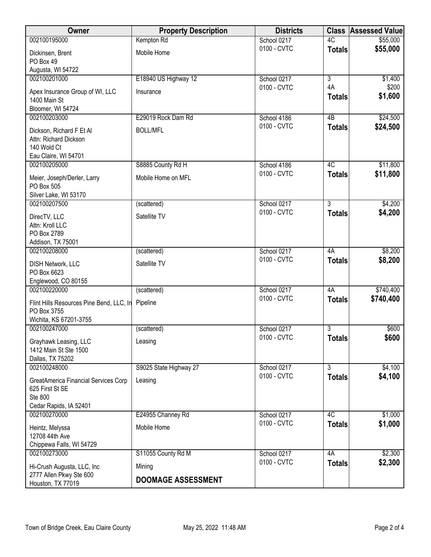| Owner                                             | <b>Property Description</b> | <b>Districts</b> |                | <b>Class Assessed Value</b> |
|---------------------------------------------------|-----------------------------|------------------|----------------|-----------------------------|
| 002100195000                                      | Kempton Rd                  | School 0217      | 4C             | \$55,000                    |
| Dickinsen, Brent                                  | Mobile Home                 | 0100 - CVTC      | <b>Totals</b>  | \$55,000                    |
| PO Box 49                                         |                             |                  |                |                             |
| Augusta, WI 54722                                 |                             |                  |                |                             |
| 002100201000                                      | E18940 US Highway 12        | School 0217      | $\overline{3}$ | \$1,400                     |
| Apex Insurance Group of WI, LLC                   | Insurance                   | 0100 - CVTC      | 4A             | \$200                       |
| 1400 Main St                                      |                             |                  | <b>Totals</b>  | \$1,600                     |
| Bloomer, WI 54724                                 |                             |                  |                |                             |
| 002100203000                                      | E29019 Rock Dam Rd          | School 4186      | 4B             | \$24,500                    |
| Dickson, Richard F Et Al                          | <b>BOLL/MFL</b>             | 0100 - CVTC      | <b>Totals</b>  | \$24,500                    |
| Attn: Richard Dickson                             |                             |                  |                |                             |
| 140 Wold Ct                                       |                             |                  |                |                             |
| Eau Claire, WI 54701                              |                             |                  |                |                             |
| 002100205000                                      | S8885 County Rd H           | School 4186      | 4C             | \$11,800                    |
| Meier, Joseph/Derler, Larry                       | Mobile Home on MFL          | 0100 - CVTC      | <b>Totals</b>  | \$11,800                    |
| PO Box 505                                        |                             |                  |                |                             |
| Silver Lake, WI 53170                             |                             |                  |                |                             |
| 002100207500                                      | (scattered)                 | School 0217      | $\overline{3}$ | \$4,200                     |
| DirecTV, LLC                                      | Satellite TV                | 0100 - CVTC      | <b>Totals</b>  | \$4,200                     |
| Attn: Kroll LLC                                   |                             |                  |                |                             |
| PO Box 2789                                       |                             |                  |                |                             |
| Addison, TX 75001                                 |                             |                  |                |                             |
| 002100208000                                      | (scattered)                 | School 0217      | 4A             | \$8,200                     |
| <b>DISH Network, LLC</b>                          | Satellite TV                | 0100 - CVTC      | <b>Totals</b>  | \$8,200                     |
| PO Box 6623                                       |                             |                  |                |                             |
| Englewood, CO 80155                               |                             |                  |                |                             |
| 002100220000                                      | (scattered)                 | School 0217      | 4A             | \$740,400                   |
| Flint Hills Resources Pine Bend, LLC, In Pipeline |                             | 0100 - CVTC      | <b>Totals</b>  | \$740,400                   |
| PO Box 3755                                       |                             |                  |                |                             |
| Wichita, KS 67201-3755                            |                             |                  |                |                             |
| 002100247000                                      | (scattered)                 | School 0217      | 3              | \$600                       |
| Grayhawk Leasing, LLC                             | Leasing                     | 0100 - CVTC      | <b>Totals</b>  | \$600                       |
| 1412 Main St Ste 1500                             |                             |                  |                |                             |
| Dallas, TX 75202                                  |                             |                  |                |                             |
| 002100248000                                      | S9025 State Highway 27      | School 0217      | $\overline{3}$ | \$4,100                     |
| GreatAmerica Financial Services Corp              | Leasing                     | 0100 - CVTC      | <b>Totals</b>  | \$4,100                     |
| 625 First St SE                                   |                             |                  |                |                             |
| Ste 800                                           |                             |                  |                |                             |
| Cedar Rapids, IA 52401                            |                             |                  |                |                             |
| 002100270000                                      | E24955 Channey Rd           | School 0217      | 4C             | \$1,000                     |
| Heintz, Melyssa                                   | Mobile Home                 | 0100 - CVTC      | <b>Totals</b>  | \$1,000                     |
| 12708 44th Ave                                    |                             |                  |                |                             |
| Chippewa Falls, WI 54729                          |                             |                  |                |                             |
| 002100273000                                      | S11055 County Rd M          | School 0217      | 4A             | \$2,300                     |
| Hi-Crush Augusta, LLC, Inc                        | Mining                      | 0100 - CVTC      | <b>Totals</b>  | \$2,300                     |
| 2777 Allen Pkwy Ste 600                           |                             |                  |                |                             |
| Houston, TX 77019                                 | <b>DOOMAGE ASSESSMENT</b>   |                  |                |                             |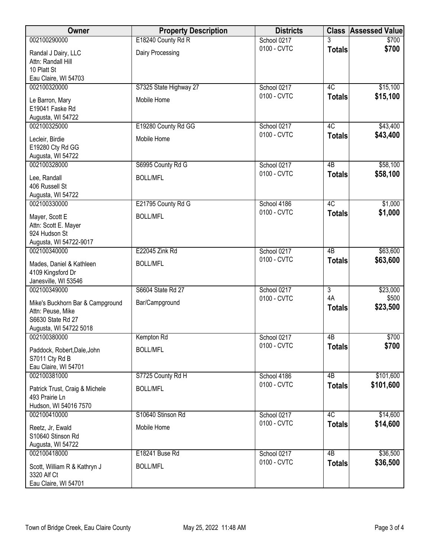| Owner                                                                                                | <b>Property Description</b>           | <b>Districts</b>           |                     | <b>Class Assessed Value</b> |
|------------------------------------------------------------------------------------------------------|---------------------------------------|----------------------------|---------------------|-----------------------------|
| 002100290000                                                                                         | E18240 County Rd R                    | School 0217                | 3                   | \$700                       |
| Randal J Dairy, LLC<br>Attn: Randall Hill<br>10 Platt St                                             | Dairy Processing                      | 0100 - CVTC                | <b>Totals</b>       | \$700                       |
| Eau Claire, WI 54703                                                                                 |                                       |                            |                     |                             |
| 002100320000<br>Le Barron, Mary<br>E19041 Faske Rd<br>Augusta, WI 54722                              | S7325 State Highway 27<br>Mobile Home | School 0217<br>0100 - CVTC | 4C<br><b>Totals</b> | \$15,100<br>\$15,100        |
| 002100325000                                                                                         | E19280 County Rd GG                   | School 0217                | 4C                  | \$43,400                    |
| Lecleir, Birdie<br>E19280 Cty Rd GG<br>Augusta, WI 54722                                             | Mobile Home                           | 0100 - CVTC                | <b>Totals</b>       | \$43,400                    |
| 002100328000                                                                                         | S6995 County Rd G                     | School 0217                | $\overline{AB}$     | \$58,100                    |
| Lee, Randall<br>406 Russell St<br>Augusta, WI 54722                                                  | <b>BOLL/MFL</b>                       | 0100 - CVTC                | <b>Totals</b>       | \$58,100                    |
| 002100330000                                                                                         | E21795 County Rd G                    | School 4186                | 4C                  | \$1,000                     |
| Mayer, Scott E<br>Attn: Scott E. Mayer<br>924 Hudson St<br>Augusta, WI 54722-9017                    | <b>BOLL/MFL</b>                       | 0100 - CVTC                | <b>Totals</b>       | \$1,000                     |
| 002100340000                                                                                         | E22045 Zink Rd                        | School 0217                | 4B                  | \$63,600                    |
| Mades, Daniel & Kathleen<br>4109 Kingsford Dr<br>Janesville, WI 53546                                | <b>BOLL/MFL</b>                       | 0100 - CVTC                | <b>Totals</b>       | \$63,600                    |
| 002100349000                                                                                         | S6604 State Rd 27                     | School 0217                | $\overline{3}$      | \$23,000                    |
| Mike's Buckhorn Bar & Campground<br>Attn: Peuse, Mike<br>S6630 State Rd 27<br>Augusta, WI 54722 5018 | Bar/Campground                        | 0100 - CVTC                | 4A<br><b>Totals</b> | \$500<br>\$23,500           |
| 002100380000                                                                                         | Kempton Rd                            | School 0217                | 4B                  | \$700                       |
| Paddock, Robert, Dale, John<br>S7011 Cty Rd B<br>Eau Claire, WI 54701                                | <b>BOLL/MFL</b>                       | 0100 - CVTC                | <b>Totals</b>       | \$700                       |
| 002100381000                                                                                         | S7725 County Rd H                     | School 4186                | 4B                  | \$101,600                   |
| Patrick Trust, Craig & Michele<br>493 Prairie Ln<br>Hudson, WI 54016 7570                            | <b>BOLL/MFL</b>                       | 0100 - CVTC                | <b>Totals</b>       | \$101,600                   |
| 002100410000                                                                                         | S10640 Stinson Rd                     | School 0217                | 4C                  | \$14,600                    |
| Reetz, Jr, Ewald<br>S10640 Stinson Rd<br>Augusta, WI 54722                                           | Mobile Home                           | 0100 - CVTC                | <b>Totals</b>       | \$14,600                    |
| 002100418000                                                                                         | E18241 Buse Rd                        | School 0217                | 4B                  | \$36,500                    |
| Scott, William R & Kathryn J<br>3320 Alf Ct<br>Eau Claire, WI 54701                                  | <b>BOLL/MFL</b>                       | 0100 - CVTC                | <b>Totals</b>       | \$36,500                    |